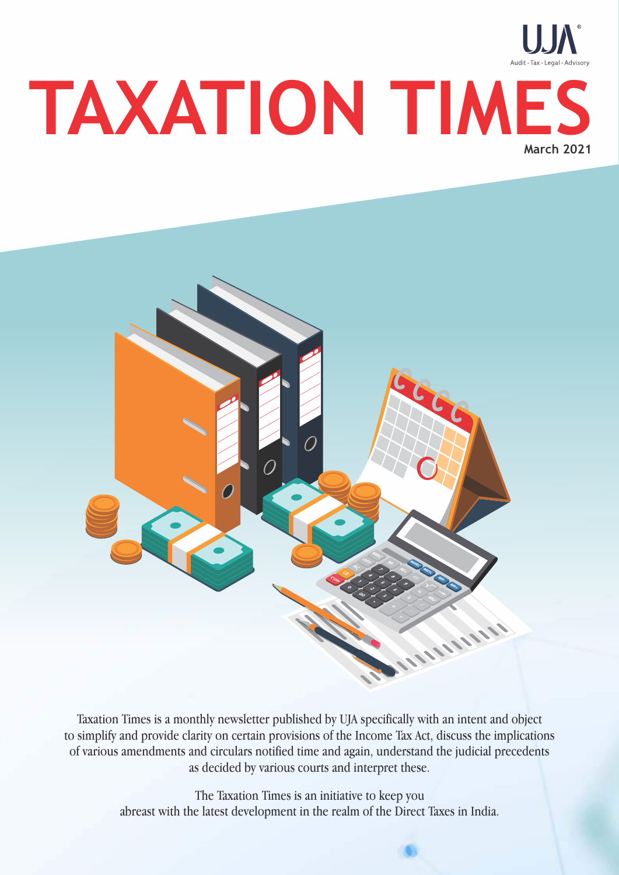# **TAXATION TIMES March 2021**



Taxation Times is a monthly newsletter published by UJA specifically with an intent and object to simplify and provide clarity on certain provisions of the Income Tax Act, discuss the implications of various amendments and circulars notified time and again, understand the judicial precedents as decided by various courts and interpret these.

> The Taxation Times is an initiative to keep you abreast with the latest development in the realm of the Direct Taxes in India.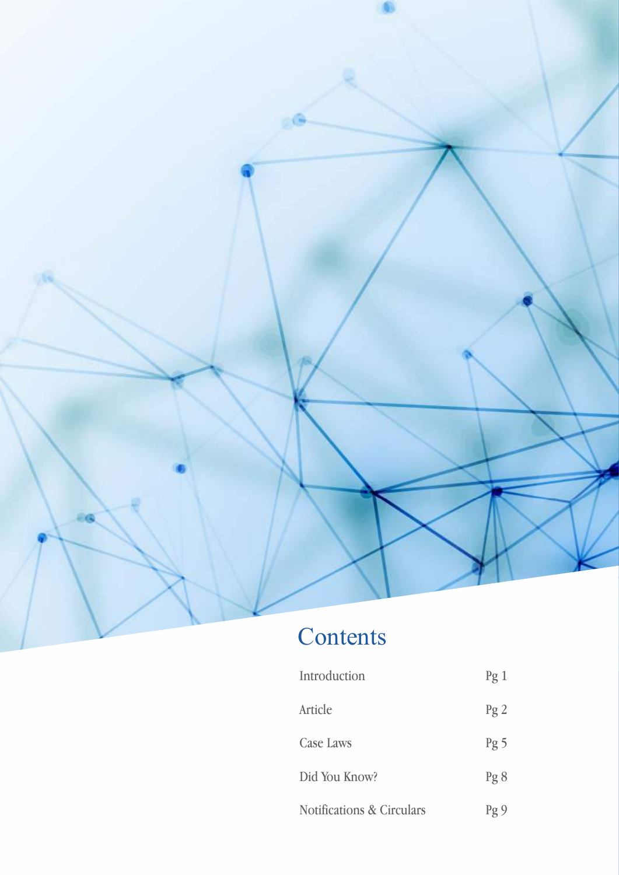

# Contents

| Introduction                         | $\log 1$        |
|--------------------------------------|-----------------|
| Article                              | Pg2             |
| <b>Case Laws</b>                     | Pg <sub>5</sub> |
| Did You Know?                        | Pg 8            |
| <b>Notifications &amp; Circulars</b> | $\log 9$        |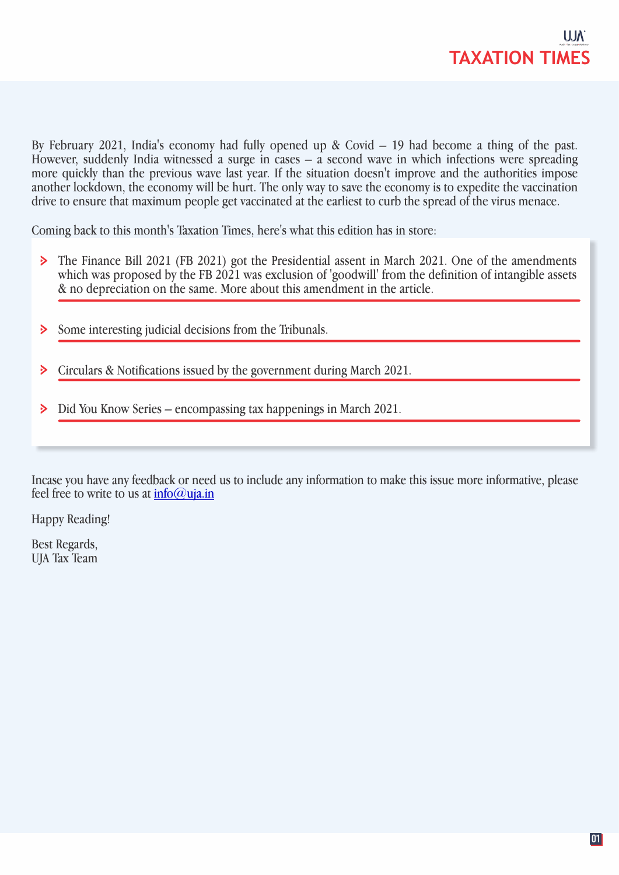

By February 2021, India's economy had fully opened up & Covid – 19 had become a thing of the past. However, suddenly India witnessed a surge in cases – a second wave in which infections were spreading more quickly than the previous wave last year. If the situation doesn't improve and the authorities impose another lockdown, the economy will be hurt. The only way to save the economy is to expedite the vaccination drive to ensure that maximum people get vaccinated at the earliest to curb the spread of the virus menace.

Coming back to this month's Taxation Times, here's what this edition has in store:

- The Finance Bill 2021 (FB 2021) got the Presidential assent in March 2021. One of the amendments  $\geq$ which was proposed by the FB 2021 was exclusion of 'goodwill' from the definition of intangible assets & no depreciation on the same. More about this amendment in the article.
- $\geq$ Some interesting judicial decisions from the Tribunals.
- Circulars & Notifications issued by the government during March 2021. ⋗
- Did You Know Series encompassing tax happenings in March 2021. ⋗

Incase you have any feedback or need us to include any information to make this issue more informative, please feel free to write to us at info@uja.in

Happy Reading!

Best Regards, UJA Tax Team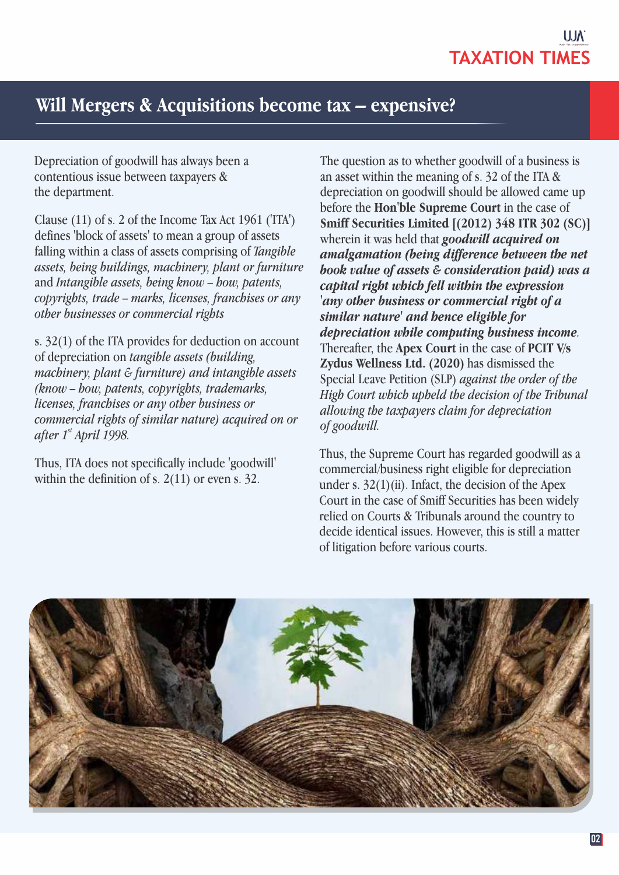

# **Will Mergers & Acquisitions become tax – expensive?**

Depreciation of goodwill has always been a contentious issue between taxpayers & the department.

Clause (11) of s. 2 of the Income Tax Act 1961 ('ITA') defines 'block of assets' to mean a group of assets falling within a class of assets comprising of *Tangible assets, being buildings, machinery, plant or furniture* and *Intangible assets, being know – how, patents, copyrights, trade – marks, licenses, franchises or any other businesses or commercial rights* 

s. 32(1) of the ITA provides for deduction on account of depreciation on *tangible assets (building, machinery, plant & furniture) and intangible assets (know – how, patents, copyrights, trademarks, licenses, franchises or any other business or commercial rights of similar nature) acquired on or after* 1<sup>st</sup> April 1998.

Thus, ITA does not specifically include 'goodwill' within the definition of s. 2(11) or even s. 32.

The question as to whether goodwill of a business is an asset within the meaning of s. 32 of the ITA & depreciation on goodwill should be allowed came up before the **Hon'ble Supreme Court** in the case of **Smiff Securities Limited [(2012) 348 ITR 302 (SC)]** wherein it was held that *goodwill acquired on amalgamation (being difference between the net book value of assets & consideration paid) was a capital right which fell within the expression 'any other business or commercial right of a similar nature' and hence eligible for depreciation while computing business income.* Thereafter, the **Apex Court** in the case of **PCIT V/s Zydus Wellness Ltd. (2020)** has dismissed the Special Leave Petition (SLP) *against the order of the High Court which upheld the decision of the Tribunal allowing the taxpayers claim for depreciation of goodwill.* 

Thus, the Supreme Court has regarded goodwill as a commercial/business right eligible for depreciation under s.  $32(1)(ii)$ . Infact, the decision of the Apex Court in the case of Smiff Securities has been widely relied on Courts & Tribunals around the country to decide identical issues. However, this is still a matter of litigation before various courts.

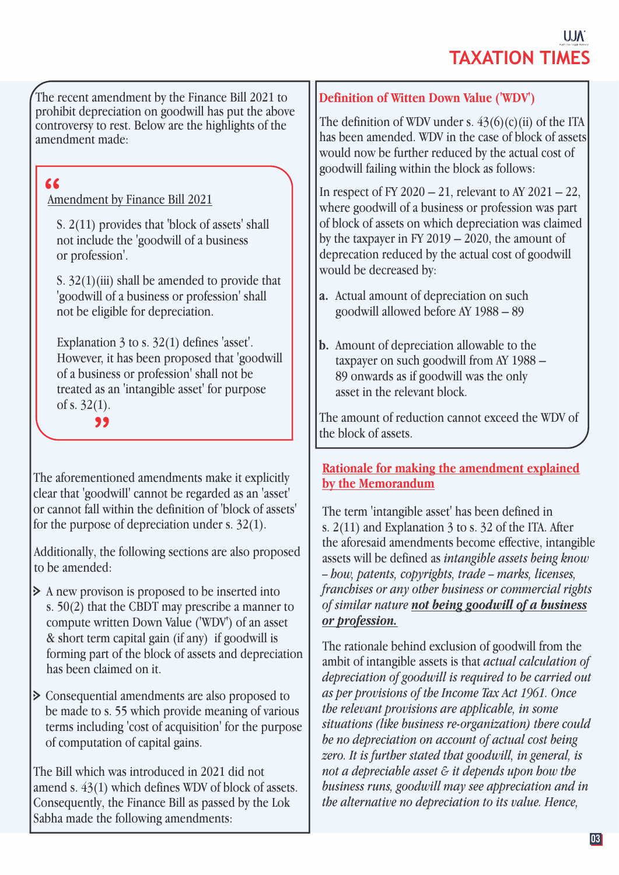The recent amendment by the Finance Bill 2021 to prohibit depreciation on goodwill has put the above controversy to rest. Below are the highlights of the amendment made:

# EXERC<sub>Amendment by Finance Bill 2021</sub>

S. 2(11) provides that 'block of assets' shall not include the 'goodwill of a business or profession'.

S. 32(1)(iii) shall be amended to provide that 'goodwill of a business or profession' shall not be eligible for depreciation.

Explanation 3 to s. 32(1) defines 'asset'. However, it has been proposed that 'goodwill of a business or profession' shall not be treated as an 'intangible asset' for purpose of s. 32(1).

**"**

The aforementioned amendments make it explicitly clear that 'goodwill' cannot be regarded as an 'asset' or cannot fall within the definition of 'block of assets' for the purpose of depreciation under s. 32(1).

Additionally, the following sections are also proposed to be amended:

- A new provison is proposed to be inserted into s. 50(2) that the CBDT may prescribe a manner to compute written Down Value ('WDV**'**) of an asset & short term capital gain (if any) if goodwill is forming part of the block of assets and depreciation has been claimed on it.
- Consequential amendments are also proposed to be made to s. 55 which provide meaning of various terms including 'cost of acquisition' for the purpose of computation of capital gains.

The Bill which was introduced in 2021 did not amend s. 43(1) which defines WDV of block of assets. Consequently, the Finance Bill as passed by the Lok Sabha made the following amendments:

# **Definition of Witten Down Value ('WDV')**

The definition of WDV under s.  $43(6)(c)(ii)$  of the ITA has been amended. WDV in the case of block of assets would now be further reduced by the actual cost of goodwill failing within the block as follows:

In respect of FY 2020 – 21, relevant to AY 2021 – 22, where goodwill of a business or profession was part of block of assets on which depreciation was claimed by the taxpayer in FY 2019 – 2020, the amount of deprecation reduced by the actual cost of goodwill would be decreased by:

- a. Actual amount of depreciation on such goodwill allowed before AY 1988 – 89
- **b.** Amount of depreciation allowable to the taxpayer on such goodwill from AY 1988 – 89 onwards as if goodwill was the only asset in the relevant block.

The amount of reduction cannot exceed the WDV of the block of assets.

# **Rationale for making the amendment explained by the Memorandum**

The term 'intangible asset' has been defined in s. 2(11) and Explanation 3 to s. 32 of the ITA. After the aforesaid amendments become effective, intangible assets will be defined as *intangible assets being know – how, patents, copyrights, trade – marks, licenses, franchises or any other business or commercial rights of similar nature not being goodwill of a business or profession.*

The rationale behind exclusion of goodwill from the ambit of intangible assets is that *actual calculation of depreciation of goodwill is required to be carried out as per provisions of the Income Tax Act 1961. Once the relevant provisions are applicable, in some situations (like business re-organization) there could be no depreciation on account of actual cost being zero. It is further stated that goodwill, in general, is not a depreciable asset & it depends upon how the business runs, goodwill may see appreciation and in the alternative no depreciation to its value. Hence,*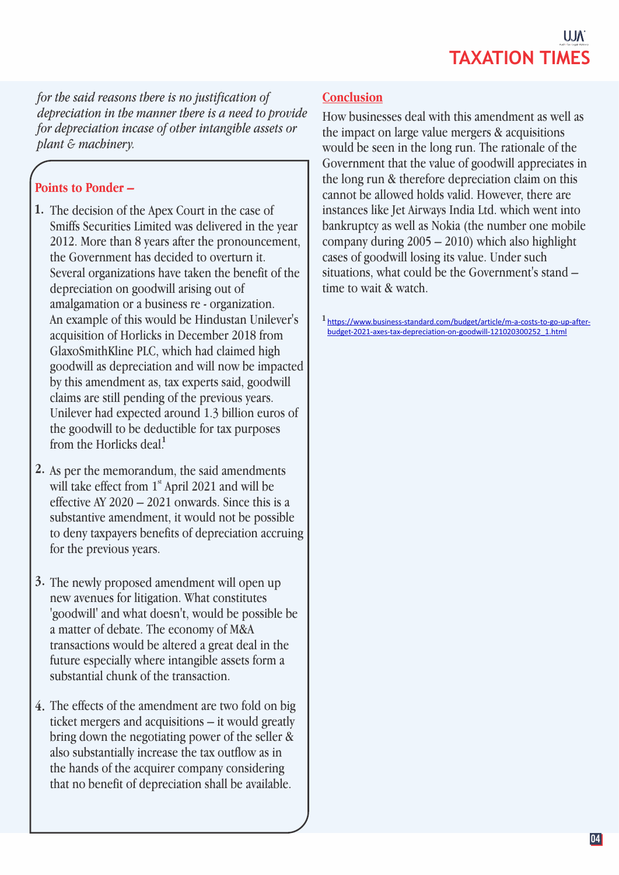*for the said reasons there is no justification of depreciation in the manner there is a need to provide for depreciation incase of other intangible assets or plant & machinery.*

# **Points to Ponder –**

- 1. The decision of the Apex Court in the case of Smiffs Securities Limited was delivered in the year 2012. More than 8 years after the pronouncement, the Government has decided to overturn it. Several organizations have taken the benefit of the depreciation on goodwill arising out of amalgamation or a business re - organization. An example of this would be Hindustan Unilever's acquisition of Horlicks in December 2018 from GlaxoSmithKline PLC, which had claimed high goodwill as depreciation and will now be impacted by this amendment as, tax experts said, goodwill claims are still pending of the previous years. Unilever had expected around 1.3 billion euros of the goodwill to be deductible for tax purposes from the Horlicks deal<sup>1</sup>
- As per the memorandum, the said amendments **2.**  will take effect from  $1<sup>st</sup>$  April 2021 and will be effective AY  $2020 - 2021$  onwards. Since this is a substantive amendment, it would not be possible to deny taxpayers benefits of depreciation accruing for the previous years.
- 3. The newly proposed amendment will open up new avenues for litigation. What constitutes 'goodwill' and what doesn't, would be possible be a matter of debate. The economy of M&A transactions would be altered a great deal in the future especially where intangible assets form a substantial chunk of the transaction.
- The effects of the amendment are two fold on big **4.**  ticket mergers and acquisitions – it would greatly bring down the negotiating power of the seller & also substantially increase the tax outflow as in the hands of the acquirer company considering that no benefit of depreciation shall be available.

# **Conclusion**

How businesses deal with this amendment as well as the impact on large value mergers & acquisitions would be seen in the long run. The rationale of the Government that the value of goodwill appreciates in the long run & therefore depreciation claim on this cannot be allowed holds valid. However, there are instances like Jet Airways India Ltd. which went into bankruptcy as well as Nokia (the number one mobile company during  $2005 - 2010$ ) which also highlight cases of goodwill losing its value. Under such situations, what could be the Government's stand – time to wait & watch.

https://www.business-standard.com/budget/article/m-a-costs-to-go-up-after-**1**  budget-2021-axes-tax-depreciation-on-goodwill-121020300252\_1.html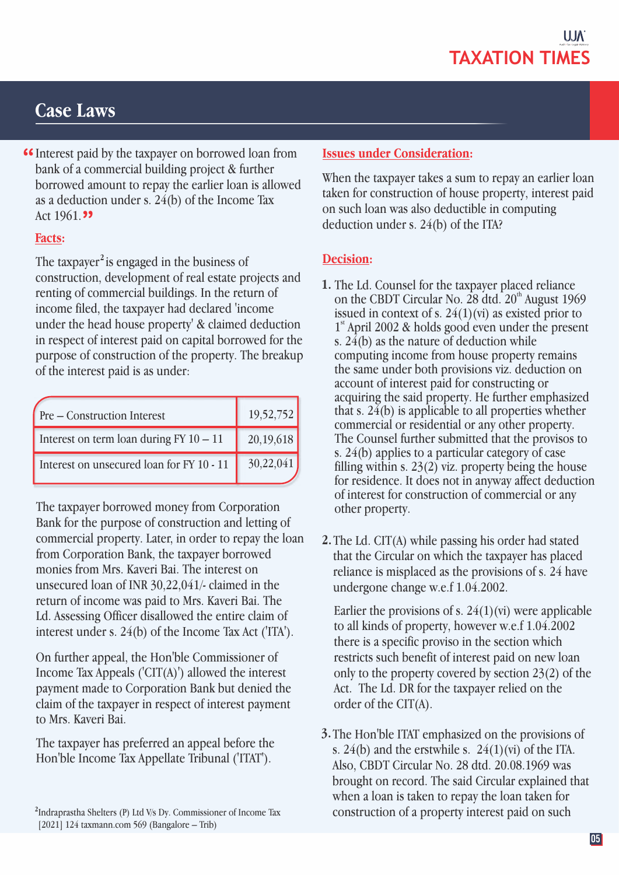# **Case Laws**

**"** Interest paid by the taxpayer on borrowed loan from bank of a commercial building project & further bank of a commercial building project & further borrowed amount to repay the earlier loan is allowed as a deduction under s. 24(b) of the Income Tax Act 1961.<sup>99</sup>

# **Facts:**

The taxpayer<sup>2</sup> is engaged in the business of construction, development of real estate projects and renting of commercial buildings. In the return of income filed, the taxpayer had declared 'income under the head house property' & claimed deduction in respect of interest paid on capital borrowed for the purpose of construction of the property. The breakup of the interest paid is as under:

| Pre – Construction Interest               | 19,52,752 |
|-------------------------------------------|-----------|
| Interest on term loan during $FY$ 10 - 11 | 20,19,618 |
| Interest on unsecured loan for FY 10 - 11 | 30,22,041 |

The taxpayer borrowed money from Corporation Bank for the purpose of construction and letting of commercial property. Later, in order to repay the loan from Corporation Bank, the taxpayer borrowed monies from Mrs. Kaveri Bai. The interest on unsecured loan of INR 30,22,041/- claimed in the return of income was paid to Mrs. Kaveri Bai. The Ld. Assessing Officer disallowed the entire claim of interest under s. 24(b) of the Income Tax Act ('ITA').

On further appeal, the Hon'ble Commissioner of Income Tax Appeals ('CIT(A)') allowed the interest payment made to Corporation Bank but denied the claim of the taxpayer in respect of interest payment to Mrs. Kaveri Bai.

The taxpayer has preferred an appeal before the Hon'ble Income Tax Appellate Tribunal ('ITAT').

## **Issues under Consideration:**

When the taxpayer takes a sum to repay an earlier loan taken for construction of house property, interest paid on such loan was also deductible in computing deduction under s. 24(b) of the ITA?

# **Decision:**

- 1. The Ld. Counsel for the taxpayer placed reliance on the CBDT Circular No. 28 dtd.  $20<sup>th</sup>$  August 1969 issued in context of s.  $24(1)(vi)$  as existed prior to  $1<sup>st</sup>$  April 2002 & holds good even under the present s. 24(b) as the nature of deduction while computing income from house property remains the same under both provisions viz. deduction on account of interest paid for constructing or acquiring the said property. He further emphasized that s. 24(b) is applicable to all properties whether commercial or residential or any other property. The Counsel further submitted that the provisos to s. 24(b) applies to a particular category of case filling within s. 23(2) viz. property being the house for residence. It does not in anyway affect deduction of interest for construction of commercial or any other property.
- 2. The Ld. CIT(A) while passing his order had stated that the Circular on which the taxpayer has placed reliance is misplaced as the provisions of s. 24 have undergone change w.e.f 1.04.2002.

Earlier the provisions of s.  $24(1)(vi)$  were applicable to all kinds of property, however w.e.f 1.04.2002 there is a specific proviso in the section which restricts such benefit of interest paid on new loan only to the property covered by section 23(2) of the Act. The Ld. DR for the taxpayer relied on the order of the CIT(A).

3. The Hon'ble ITAT emphasized on the provisions of s.  $24(b)$  and the erstwhile s.  $24(1)(vi)$  of the ITA. Also, CBDT Circular No. 28 dtd. 20.08.1969 was brought on record. The said Circular explained that when a loan is taken to repay the loan taken for construction of a property interest paid on such

<sup>&</sup>lt;sup>2</sup>Indraprastha Shelters (P) Ltd V/s Dy. Commissioner of Income Tax [2021] 124 taxmann.com 569 (Bangalore – Trib)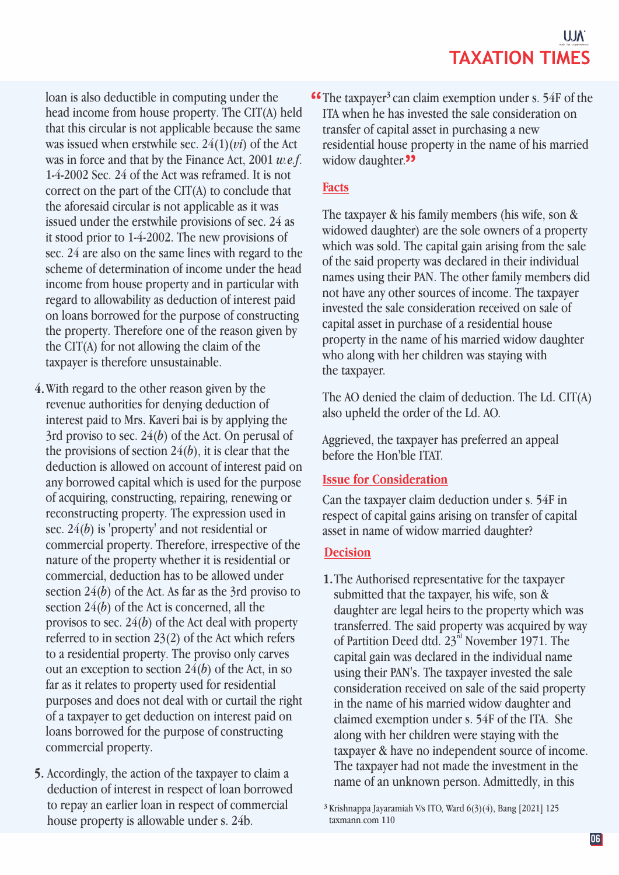loan is also deductible in computing under the head income from house property. The CIT(A) held that this circular is not applicable because the same was issued when erstwhile sec. 24(1)(*vi*) of the Act was in force and that by the Finance Act, 2001 *w.e.f*. 1-4-2002 Sec. 24 of the Act was reframed. It is not correct on the part of the CIT(A) to conclude that the aforesaid circular is not applicable as it was issued under the erstwhile provisions of sec. 24 as it stood prior to 1-4-2002. The new provisions of sec. 24 are also on the same lines with regard to the scheme of determination of income under the head income from house property and in particular with regard to allowability as deduction of interest paid on loans borrowed for the purpose of constructing the property. Therefore one of the reason given by the CIT(A) for not allowing the claim of the taxpayer is therefore unsustainable.

- With regard to the other reason given by the **4.**  revenue authorities for denying deduction of interest paid to Mrs. Kaveri bai is by applying the 3rd proviso to sec. 24(*b*) of the Act. On perusal of the provisions of section  $24(b)$ , it is clear that the deduction is allowed on account of interest paid on any borrowed capital which is used for the purpose of acquiring, constructing, repairing, renewing or reconstructing property. The expression used in sec. 24(*b*) is 'property' and not residential or commercial property. Therefore, irrespective of the nature of the property whether it is residential or commercial, deduction has to be allowed under section 24(*b*) of the Act. As far as the 3rd proviso to section 24(*b*) of the Act is concerned, all the provisos to sec. 24(*b*) of the Act deal with property referred to in section 23(2) of the Act which refers to a residential property. The proviso only carves out an exception to section 24(*b*) of the Act, in so far as it relates to property used for residential purposes and does not deal with or curtail the right of a taxpayer to get deduction on interest paid on loans borrowed for the purpose of constructing commercial property.
- **5.** Accordingly, the action of the taxpayer to claim a deduction of interest in respect of loan borrowed to repay an earlier loan in respect of commercial house property is allowable under s. 24b.

**46** The taxpayer<sup>3</sup> can claim exemption under s.  $54F$  of the  $T_A$  when he has invested the sale consideration on ITA when he has invested the sale consideration on transfer of capital asset in purchasing a new residential house property in the name of his married widow daughter.<sup>99</sup>

# **Facts**

The taxpayer & his family members (his wife, son & widowed daughter) are the sole owners of a property which was sold. The capital gain arising from the sale of the said property was declared in their individual names using their PAN. The other family members did not have any other sources of income. The taxpayer invested the sale consideration received on sale of capital asset in purchase of a residential house property in the name of his married widow daughter who along with her children was staying with the taxpayer.

The AO denied the claim of deduction. The Ld. CIT(A) also upheld the order of the Ld. AO.

Aggrieved, the taxpayer has preferred an appeal before the Hon'ble ITAT.

# **Issue for Consideration**

Can the taxpayer claim deduction under s. 54F in respect of capital gains arising on transfer of capital asset in name of widow married daughter?

## **Decision**

1. The Authorised representative for the taxpayer submitted that the taxpayer, his wife, son & daughter are legal heirs to the property which was transferred. The said property was acquired by way of Partition Deed dtd. 23<sup>rd</sup> November 1971. The capital gain was declared in the individual name using their PAN's. The taxpayer invested the sale consideration received on sale of the said property in the name of his married widow daughter and claimed exemption under s. 54F of the ITA. She along with her children were staying with the taxpayer & have no independent source of income. The taxpayer had not made the investment in the name of an unknown person. Admittedly, in this

Krishnappa Jayaramiah V/s ITO, Ward 6(3)(4), Bang [2021] 125 **3** taxmann.com 110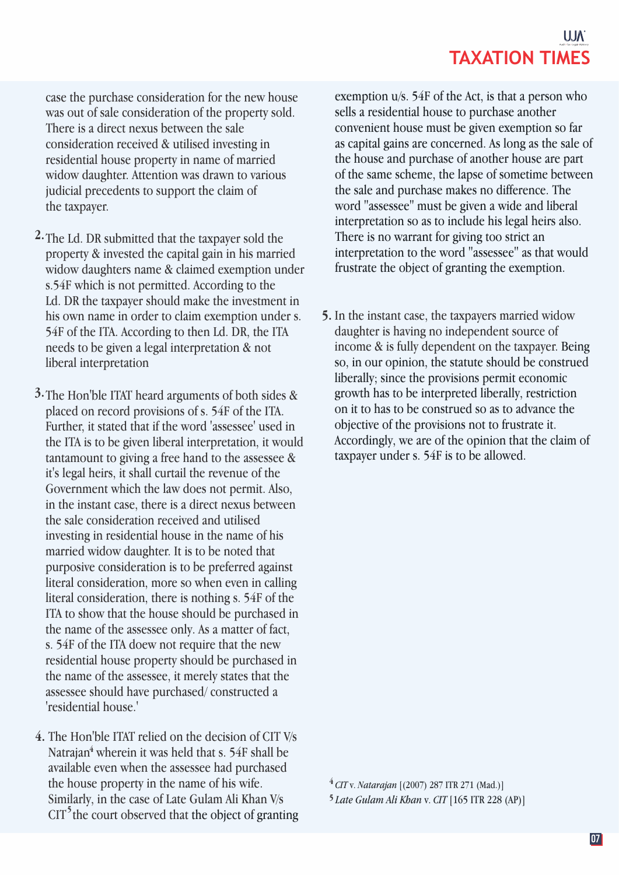# **TAXATION TIMES**

case the purchase consideration for the new house was out of sale consideration of the property sold. There is a direct nexus between the sale consideration received & utilised investing in residential house property in name of married widow daughter. Attention was drawn to various judicial precedents to support the claim of the taxpayer.

- 2. The Ld. DR submitted that the taxpayer sold the property & invested the capital gain in his married widow daughters name & claimed exemption under s.54F which is not permitted. According to the Ld. DR the taxpayer should make the investment in his own name in order to claim exemption under s. 54F of the ITA. According to then Ld. DR, the ITA needs to be given a legal interpretation & not liberal interpretation
- **3.** The Hon'ble ITAT heard arguments of both sides & placed on record provisions of s. 54F of the ITA. Further, it stated that if the word 'assessee' used in the ITA is to be given liberal interpretation, it would tantamount to giving a free hand to the assessee & it's legal heirs, it shall curtail the revenue of the Government which the law does not permit. Also, in the instant case, there is a direct nexus between the sale consideration received and utilised investing in residential house in the name of his married widow daughter. It is to be noted that purposive consideration is to be preferred against literal consideration, more so when even in calling literal consideration, there is nothing s. 54F of the ITA to show that the house should be purchased in the name of the assessee only. As a matter of fact, s. 54F of the ITA doew not require that the new residential house property should be purchased in the name of the assessee, it merely states that the assessee should have purchased/ constructed a 'residential house.'
- The Hon'ble ITAT relied on the decision of CIT V/s **4.**  Natrajan<sup>4</sup> wherein it was held that s. 54F shall be available even when the assessee had purchased the house property in the name of his wife. Similarly, in the case of Late Gulam Ali Khan V/s CIT<sup>5</sup> the court observed that the object of granting

exemption u/s. 54F of the Act, is that a person who sells a residential house to purchase another convenient house must be given exemption so far as capital gains are concerned. As long as the sale of the house and purchase of another house are part of the same scheme, the lapse of sometime between the sale and purchase makes no difference. The word "assessee" must be given a wide and liberal interpretation so as to include his legal heirs also. There is no warrant for giving too strict an interpretation to the word "assessee" as that would frustrate the object of granting the exemption.

**5.** In the instant case, the taxpayers married widow daughter is having no independent source of income & is fully dependent on the taxpayer. Being so, in our opinion, the statute should be construed liberally; since the provisions permit economic growth has to be interpreted liberally, restriction on it to has to be construed so as to advance the objective of the provisions not to frustrate it. Accordingly, we are of the opinion that the claim of taxpayer under s. 54F is to be allowed.

*CIT* v. *Natarajan* [(2007) 287 ITR 271 (Mad.)] **<sup>4</sup>** *Late Gulam Ali Khan* v. *CIT* [165 ITR 228 (AP)] **5**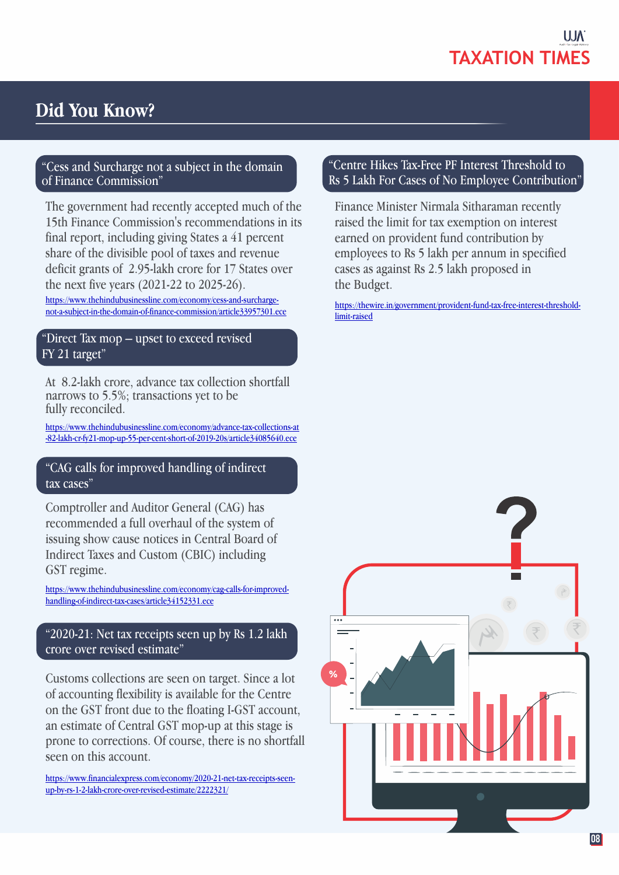

# **Did You Know?**

## "Cess and Surcharge not a subject in the domain of Finance Commission"

The government had recently accepted much of the 15th Finance Commission's recommendations in its final report, including giving States a 41 percent share of the divisible pool of taxes and revenue deficit grants of 2.95-lakh crore for 17 States over the next five years (2021-22 to 2025-26). https://www.thehindubusinessline.com/economy/cess-and-surchargenot-a-subject-in-the-domain-of-finance-commission/article33957301.ece

## "Direct Tax mop – upset to exceed revised FY 21 target"

At 8.2-lakh crore, advance tax collection shortfall narrows to 5.5%; transactions yet to be fully reconciled.

https://www.thehindubusinessline.com/economy/advance-tax-collections-at -82-lakh-cr-fy21-mop-up-55-per-cent-short-of-2019-20s/article34085640.ece

## "CAG calls for improved handling of indirect tax cases"

Comptroller and Auditor General (CAG) has recommended a full overhaul of the system of issuing show cause notices in Central Board of Indirect Taxes and Custom (CBIC) including GST regime.

https://www.thehindubusinessline.com/economy/cag-calls-for-improvedhandling-of-indirect-tax-cases/article34152331.ece

# "2020-21: Net tax receipts seen up by Rs 1.2 lakh crore over revised estimate"

Customs collections are seen on target. Since a lot of accounting flexibility is available for the Centre on the GST front due to the floating I-GST account, an estimate of Central GST mop-up at this stage is prone to corrections. Of course, there is no shortfall seen on this account.

https://www.financialexpress.com/economy/2020-21-net-tax-receipts-seenup-by-rs-1-2-lakh-crore-over-revised-estimate/2222321/

## "Centre Hikes Tax-Free PF Interest Threshold to Rs 5 Lakh For Cases of No Employee Contribution"

Finance Minister Nirmala Sitharaman recently raised the limit for tax exemption on interest earned on provident fund contribution by employees to Rs 5 lakh per annum in specified cases as against Rs 2.5 lakh proposed in the Budget.

https://thewire.in/government/provident-fund-tax-free-interest-thresholdlimit-raised

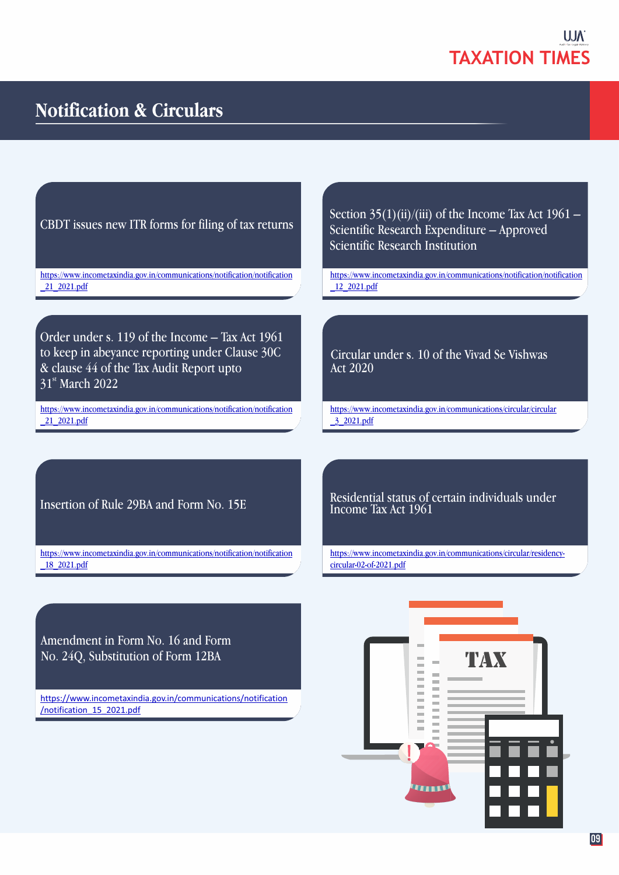

# **Notification & Circulars**

CBDT issues new ITR forms for filing of tax returns

https://www.incometaxindia.gov.in/communications/notification/notification \_21\_2021.pdf

Order under s. 119 of the Income – Tax Act 1961 to keep in abeyance reporting under Clause 30C & clause 44 of the Tax Audit Report upto 31<sup>st</sup> March 2022

https://www.incometaxindia.gov.in/communications/notification/notification \_21\_2021.pdf

Section  $35(1)(ii)/(iii)$  of the Income Tax Act  $1961 -$ Scientific Research Expenditure – Approved Scientific Research Institution

https://www.incometaxindia.gov.in/communications/notification/notification \_12\_2021.pdf

Circular under s. 10 of the Vivad Se Vishwas Act 2020

https://www.incometaxindia.gov.in/communications/circular/circular \_3\_2021.pdf

Insertion of Rule 29BA and Form No. 15E

https://www.incometaxindia.gov.in/communications/notification/notification \_18\_2021.pdf

Residential status of certain individuals under Income Tax Act 1961

https://www.incometaxindia.gov.in/communications/circular/residencycircular-02-of-2021.pdf

Amendment in Form No. 16 and Form No. 24Q, Substitution of Form 12BA

https://www.incometaxindia.gov.in/communications/notification /notification\_15\_2021.pdf